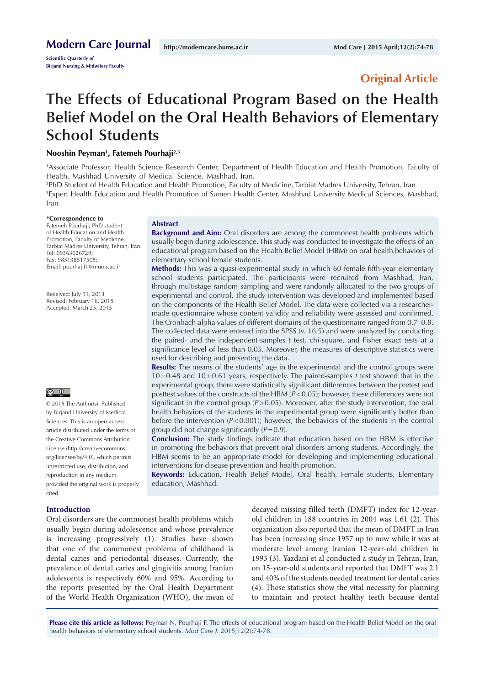**Scientific Quarterly of Birjand Nursing & Midwifery Faculty**

## **Original Article**

# **The Effects of Educational Program Based on the Health Belief Model on the Oral Health Behaviors of Elementary School Students**

## **Nooshin Peyman1 , Fatemeh Pourhaji2,3**

1 Associate Professor, Health Science Research Center, Department of Health Education and Health Promotion, Faculty of Health, Mashhad University of Medical Science, Mashhad, Iran.

2 PhD Student of Health Education and Health Promotion, Faculty of Medicine, Tarbiat Madres University, Tehran, Iran 3 Expert Health Education and Health Promotion of Samen Health Center, Mashhad University Medical Sciences, Mashhad, Iran

#### **\*Correspondence to**

Fatemeh Pourhaji; PhD student of Health Education and Health Promotion, Faculty of Medicine, Tarbiat Madres University, Tehran, Iran. Tel: 09363026729; Fax: 985138517505; Email: pourhajif1@mums.ac.ir

Received: July 11, 2013 Revised: February 16, 2015 Accepted: March 25, 2015

#### $\boxed{6}$   $\boxed{0}$

© 2015 The Author(s). Published by Birjand University of Medical Sciences. This is an open-access article distributed under the terms of the Creative Commons Attribution License [\(http://creativecommons.](http://creativecommons.org/licenses/by/4.0) [org/licenses/by/4.0\)](http://creativecommons.org/licenses/by/4.0), which permits unrestricted use, distribution, and reproduction in any medium, provided the original work is properly cited.

#### **Introduction**

Oral disorders are the commonest health problems which usually begin during adolescence and whose prevalence is increasing progressively (1). Studies have shown that one of the commonest problems of childhood is dental caries and periodontal diseases. Currently, the prevalence of dental caries and gingivitis among Iranian adolescents is respectively 60% and 95%. According to the reports presented by the Oral Health Department of the World Health Organization (WHO), the mean of decayed missing filled teeth (DMFT) index for 12-yearold children in 188 countries in 2004 was 1.61 (2). This organization also reported that the mean of DMFT in Iran has been increasing since 1957 up to now while it was at moderate level among Iranian 12-year-old children in 1993 (3). Yazdani et al conducted a study in Tehran, Iran, on 15-year-old students and reported that DMFT was 2.1 and 40% of the students needed treatment for dental caries (4). These statistics show the vital necessity for planning to maintain and protect healthy teeth because dental

**Please cite this article as follows:** Peyman N, Pourhaji F. The effects of educational program based on the Health Belief Model on the oral health behaviors of elementary school students. *Mod Care J.* 2015;12(2):74-78.

#### **Abstract**

**Background and Aim:** Oral disorders are among the commonest health problems which usually begin during adolescence. This study was conducted to investigate the effects of an educational program based on the Health Belief Model (HBM) on oral health behaviors of elementary school female students.

**Methods:** This was a quasi-experimental study in which 60 female fifth-year elementary school students participated. The participants were recruited from Mashhad, Iran, through multistage random sampling and were randomly allocated to the two groups of experimental and control. The study intervention was developed and implemented based on the components of the Health Belief Model. The data were collected via a researchermade questionnaire whose content validity and reliability were assessed and confirmed. The Cronbach alpha values of different domains of the questionnaire ranged from 0.7–0.8. The collected data were entered into the SPSS (v. 16.5) and were analyzed by conducting the paired- and the independent-samples *t* test, chi-square, and Fisher exact tests at a significance level of less than 0.05. Moreover, the measures of descriptive statistics were used for describing and presenting the data.

**Results:** The means of the students' age in the experimental and the control groups were 10±0.48 and 10±0.61 years, respectively. The paired-samples *t* test showed that in the experimental group, there were statistically significant differences between the pretest and posttest values of the constructs of the HBM ( $P$ <0.05); however, these differences were not significant in the control group (*P*>0.05). Moreover, after the study intervention, the oral health behaviors of the students in the experimental group were significantly better than before the intervention (*P*<0.001); however, the behaviors of the students in the control group did not change significantly (*P*=0.9).

**Conclusion:** The study findings indicate that education based on the HBM is effective in promoting the behaviors that prevent oral disorders among students. Accordingly, the HBM seems to be an appropriate model for developing and implementing educational interventions for disease prevention and health promotion.

**Keywords:** Education, Health Belief Model, Oral health, Female students, Elementary education, Mashhad.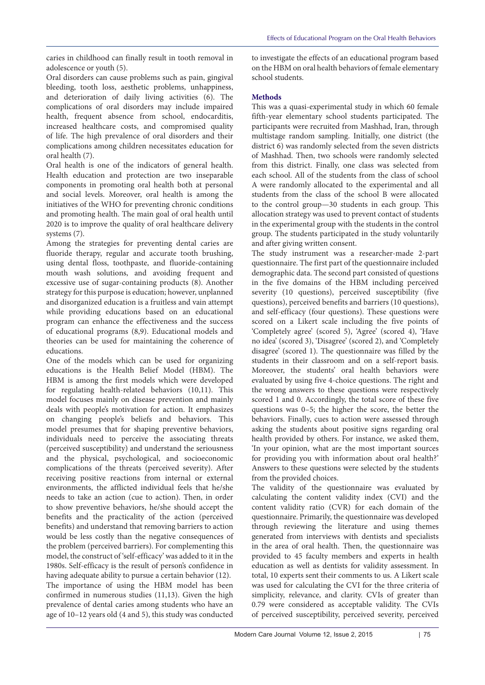caries in childhood can finally result in tooth removal in adolescence or youth (5).

Oral disorders can cause problems such as pain, gingival bleeding, tooth loss, aesthetic problems, unhappiness, and deterioration of daily living activities (6). The complications of oral disorders may include impaired health, frequent absence from school, endocarditis, increased healthcare costs, and compromised quality of life. The high prevalence of oral disorders and their complications among children necessitates education for oral health (7).

Oral health is one of the indicators of general health. Health education and protection are two inseparable components in promoting oral health both at personal and social levels. Moreover, oral health is among the initiatives of the WHO for preventing chronic conditions and promoting health. The main goal of oral health until 2020 is to improve the quality of oral healthcare delivery systems (7).

Among the strategies for preventing dental caries are fluoride therapy, regular and accurate tooth brushing, using dental floss, toothpaste, and fluoride-containing mouth wash solutions, and avoiding frequent and excessive use of sugar-containing products (8). Another strategy for this purpose is education; however, unplanned and disorganized education is a fruitless and vain attempt while providing educations based on an educational program can enhance the effectiveness and the success of educational programs (8,9). Educational models and theories can be used for maintaining the coherence of educations.

One of the models which can be used for organizing educations is the Health Belief Model (HBM). The HBM is among the first models which were developed for regulating health-related behaviors (10,11). This model focuses mainly on disease prevention and mainly deals with people's motivation for action. It emphasizes on changing people's beliefs and behaviors. This model presumes that for shaping preventive behaviors, individuals need to perceive the associating threats (perceived susceptibility) and understand the seriousness and the physical, psychological, and socioeconomic complications of the threats (perceived severity). After receiving positive reactions from internal or external environments, the afflicted individual feels that he/she needs to take an action (cue to action). Then, in order to show preventive behaviors, he/she should accept the benefits and the practicality of the action (perceived benefits) and understand that removing barriers to action would be less costly than the negative consequences of the problem (perceived barriers). For complementing this model, the construct of 'self-efficacy' was added to it in the 1980s. Self-efficacy is the result of person's confidence in having adequate ability to pursue a certain behavior (12). The importance of using the HBM model has been confirmed in numerous studies (11,13). Given the high prevalence of dental caries among students who have an age of 10–12 years old (4 and 5), this study was conducted

to investigate the effects of an educational program based on the HBM on oral health behaviors of female elementary school students.

## **Methods**

This was a quasi-experimental study in which 60 female fifth-year elementary school students participated. The participants were recruited from Mashhad, Iran, through multistage random sampling. Initially, one district (the district 6) was randomly selected from the seven districts of Mashhad. Then, two schools were randomly selected from this district. Finally, one class was selected from each school. All of the students from the class of school A were randomly allocated to the experimental and all students from the class of the school B were allocated to the control group—30 students in each group. This allocation strategy was used to prevent contact of students in the experimental group with the students in the control group. The students participated in the study voluntarily and after giving written consent.

The study instrument was a researcher-made 2-part questionnaire. The first part of the questionnaire included demographic data. The second part consisted of questions in the five domains of the HBM including perceived severity (10 questions), perceived susceptibility (five questions), perceived benefits and barriers (10 questions), and self-efficacy (four questions). These questions were scored on a Likert scale including the five points of 'Completely agree' (scored 5), 'Agree' (scored 4), 'Have no idea' (scored 3), 'Disagree' (scored 2), and 'Completely disagree' (scored 1). The questionnaire was filled by the students in their classroom and on a self-report basis. Moreover, the students' oral health behaviors were evaluated by using five 4-choice questions. The right and the wrong answers to these questions were respectively scored 1 and 0. Accordingly, the total score of these five questions was 0–5; the higher the score, the better the behaviors. Finally, cues to action were assessed through asking the students about positive signs regarding oral health provided by others. For instance, we asked them, 'In your opinion, what are the most important sources for providing you with information about oral health?' Answers to these questions were selected by the students from the provided choices.

The validity of the questionnaire was evaluated by calculating the content validity index (CVI) and the content validity ratio (CVR) for each domain of the questionnaire. Primarily, the questionnaire was developed through reviewing the literature and using themes generated from interviews with dentists and specialists in the area of oral health. Then, the questionnaire was provided to 45 faculty members and experts in health education as well as dentists for validity assessment. In total, 10 experts sent their comments to us. A Likert scale was used for calculating the CVI for the three criteria of simplicity, relevance, and clarity. CVIs of greater than 0.79 were considered as acceptable validity. The CVIs of perceived susceptibility, perceived severity, perceived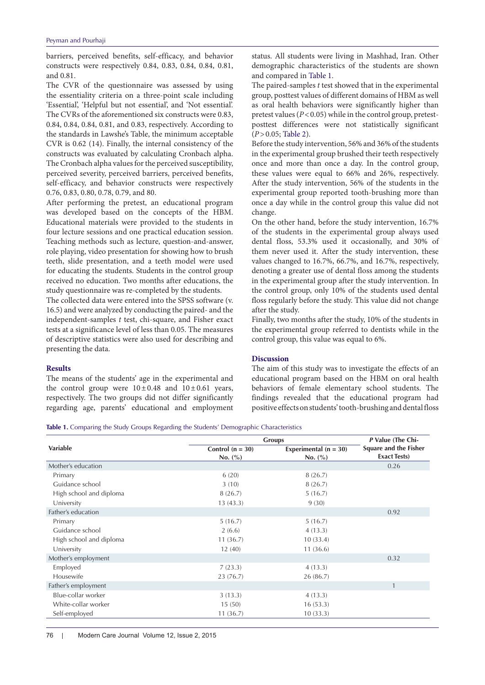barriers, perceived benefits, self-efficacy, and behavior constructs were respectively 0.84, 0.83, 0.84, 0.84, 0.81, and 0.81.

The CVR of the questionnaire was assessed by using the essentiality criteria on a three-point scale including 'Essential', 'Helpful but not essential', and 'Not essential'. The CVRs of the aforementioned six constructs were 0.83, 0.84, 0.84, 0.84, 0.81, and 0.83, respectively. According to the standards in Lawshe's Table, the minimum acceptable CVR is 0.62 (14). Finally, the internal consistency of the constructs was evaluated by calculating Cronbach alpha. The Cronbach alpha values for the perceived susceptibility, perceived severity, perceived barriers, perceived benefits, self-efficacy, and behavior constructs were respectively 0.76, 0.83, 0.80, 0.78, 0.79, and 80.

After performing the pretest, an educational program was developed based on the concepts of the HBM. Educational materials were provided to the students in four lecture sessions and one practical education session. Teaching methods such as lecture, question-and-answer, role playing, video presentation for showing how to brush teeth, slide presentation, and a teeth model were used for educating the students. Students in the control group received no education. Two months after educations, the study questionnaire was re-completed by the students.

The collected data were entered into the SPSS software (v. 16.5) and were analyzed by conducting the paired- and the independent-samples *t* test, chi-square, and Fisher exact tests at a significance level of less than 0.05. The measures of descriptive statistics were also used for describing and presenting the data.

## **Results**

The means of the students' age in the experimental and the control group were  $10 \pm 0.48$  and  $10 \pm 0.61$  years, respectively. The two groups did not differ significantly regarding age, parents' educational and employment status. All students were living in Mashhad, Iran. Other demographic characteristics of the students are shown and compared in Table 1.

The paired-samples *t* test showed that in the experimental group, posttest values of different domains of HBM as well as oral health behaviors were significantly higher than pretest values (*P*<0.05) while in the control group, pretestposttest differences were not statistically significant (*P*>0.05; [Table 2\)](#page-3-0).

Before the study intervention, 56% and 36% of the students in the experimental group brushed their teeth respectively once and more than once a day. In the control group, these values were equal to 66% and 26%, respectively. After the study intervention, 56% of the students in the experimental group reported tooth-brushing more than once a day while in the control group this value did not change.

On the other hand, before the study intervention, 16.7% of the students in the experimental group always used dental floss, 53.3% used it occasionally, and 30% of them never used it. After the study intervention, these values changed to 16.7%, 66.7%, and 16.7%, respectively, denoting a greater use of dental floss among the students in the experimental group after the study intervention. In the control group, only 10% of the students used dental floss regularly before the study. This value did not change after the study.

Finally, two months after the study, 10% of the students in the experimental group referred to dentists while in the control group, this value was equal to 6%.

### **Discussion**

The aim of this study was to investigate the effects of an educational program based on the HBM on oral health behaviors of female elementary school students. The findings revealed that the educational program had positive effects on students' tooth-brushing and dental floss

**Table 1.** Comparing the Study Groups Regarding the Students' Demographic Characteristics

|                         | <b>Groups</b>                 | P Value (The Chi-                  |                                                     |
|-------------------------|-------------------------------|------------------------------------|-----------------------------------------------------|
| Variable                | Control $(n = 30)$<br>No. (%) | Experimental $(n = 30)$<br>No. (%) | <b>Square and the Fisher</b><br><b>Exact Tests)</b> |
| Mother's education      |                               |                                    | 0.26                                                |
| Primary                 | 6(20)                         | 8(26.7)                            |                                                     |
| Guidance school         | 3(10)                         | 8(26.7)                            |                                                     |
| High school and diploma | 8(26.7)                       | 5(16.7)                            |                                                     |
| University              | 13(43.3)                      | 9(30)                              |                                                     |
| Father's education      |                               |                                    | 0.92                                                |
| Primary                 | 5(16.7)                       | 5(16.7)                            |                                                     |
| Guidance school         | 2(6.6)                        | 4(13.3)                            |                                                     |
| High school and diploma | 11(36.7)                      | 10(33.4)                           |                                                     |
| University              | 12(40)                        | 11(36.6)                           |                                                     |
| Mother's employment     |                               |                                    | 0.32                                                |
| Employed                | 7(23.3)                       | 4(13.3)                            |                                                     |
| Housewife               | 23(76.7)                      | 26 (86.7)                          |                                                     |
| Father's employment     |                               |                                    | $\mathbf{1}$                                        |
| Blue-collar worker      | 3(13.3)                       | 4(13.3)                            |                                                     |
| White-collar worker     | 15(50)                        | 16(53.3)                           |                                                     |
| Self-employed           | 11(36.7)                      | 10(33.3)                           |                                                     |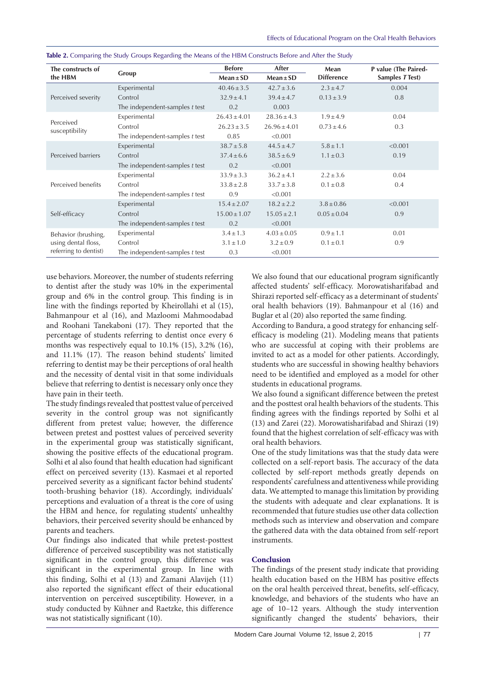| The constructs of<br>the HBM                                        | Group                            | <b>Before</b>    | After            | Mean<br><b>Difference</b> | P value (The Paired-<br>Samples T Test) |
|---------------------------------------------------------------------|----------------------------------|------------------|------------------|---------------------------|-----------------------------------------|
|                                                                     |                                  | $Mean \pm SD$    | $Mean \pm SD$    |                           |                                         |
| Perceived severity                                                  | Experimental                     | $40.46 \pm 3.5$  | $42.7 \pm 3.6$   | $2.3 \pm 4.7$             | 0.004                                   |
|                                                                     | Control                          | $32.9 \pm 4.1$   | $39.4 \pm 4.7$   | $0.13 \pm 3.9$            | 0.8                                     |
|                                                                     | The independent-samples t test   | 0.2              | 0.003            |                           |                                         |
| Perceived<br>susceptibility                                         | Experimental                     | $26.43 \pm 4.01$ | $28.36 \pm 4.3$  | $1.9 \pm 4.9$             | 0.04                                    |
|                                                                     | Control                          | $26.23 \pm 3.5$  | $26.96 \pm 4.01$ | $0.73 \pm 4.6$            | 0.3                                     |
|                                                                     | The independent-samples t test   | 0.85             | < 0.001          |                           |                                         |
| Perceived barriers                                                  | Experimental                     | $38.7 \pm 5.8$   | $44.5 \pm 4.7$   | $5.8 \pm 1.1$             | < 0.001                                 |
|                                                                     | Control                          | $37.4 \pm 6.6$   | $38.5 \pm 6.9$   | $1.1 \pm 0.3$             | 0.19                                    |
|                                                                     | The independent-samples t test   | 0.2              | < 0.001          |                           |                                         |
| Perceived benefits                                                  | Experimental                     | $33.9 \pm 3.3$   | $36.2 \pm 4.1$   | $2.2 \pm 3.6$             | 0.04                                    |
|                                                                     | Control                          | $33.8 \pm 2.8$   | $33.7 \pm 3.8$   | $0.1 \pm 0.8$             | 0.4                                     |
|                                                                     | The independent-samples $t$ test | 0.9              | < 0.001          |                           |                                         |
| Self-efficacy                                                       | Experimental                     | $15.4 \pm 2.07$  | $18.2 \pm 2.2$   | $3.8 \pm 0.86$            | < 0.001                                 |
|                                                                     | Control                          | $15.00 \pm 1.07$ | $15.05 \pm 2.1$  | $0.05 \pm 0.04$           | 0.9                                     |
|                                                                     | The independent-samples $t$ test | 0.2              | < 0.001          |                           |                                         |
| Behavior (brushing,<br>using dental floss,<br>referring to dentist) | Experimental                     | $3.4 \pm 1.3$    | $4.03 \pm 0.05$  | $0.9 \pm 1.1$             | 0.01                                    |
|                                                                     | Control                          | $3.1 \pm 1.0$    | $3.2 \pm 0.9$    | $0.1 \pm 0.1$             | 0.9                                     |
|                                                                     | The independent-samples t test   | 0.3              | < 0.001          |                           |                                         |

<span id="page-3-0"></span>**Table 2.** Comparing the Study Groups Regarding the Means of the HBM Constructs Before and After the Study

use behaviors. Moreover, the number of students referring to dentist after the study was 10% in the experimental group and 6% in the control group. This finding is in line with the findings reported by Kheirollahi et al (15), Bahmanpour et al (16), and Mazloomi Mahmoodabad and Roohani Tanekaboni (17). They reported that the percentage of students referring to dentist once every 6 months was respectively equal to 10.1% (15), 3.2% (16), and 11.1% (17). The reason behind students' limited referring to dentist may be their perceptions of oral health and the necessity of dental visit in that some individuals believe that referring to dentist is necessary only once they have pain in their teeth.

The study findings revealed that posttest value of perceived severity in the control group was not significantly different from pretest value; however, the difference between pretest and posttest values of perceived severity in the experimental group was statistically significant, showing the positive effects of the educational program. Solhi et al also found that health education had significant effect on perceived severity (13). Kasmaei et al reported perceived severity as a significant factor behind students' tooth-brushing behavior (18). Accordingly, individuals' perceptions and evaluation of a threat is the core of using the HBM and hence, for regulating students' unhealthy behaviors, their perceived severity should be enhanced by parents and teachers.

Our findings also indicated that while pretest-posttest difference of perceived susceptibility was not statistically significant in the control group, this difference was significant in the experimental group. In line with this finding, Solhi et al (13) and Zamani Alavijeh (11) also reported the significant effect of their educational intervention on perceived susceptibility. However, in a study conducted by Kühner and Raetzke, this difference was not statistically significant (10).

We also found that our educational program significantly affected students' self-efficacy. Morowatisharifabad and Shirazi reported self-efficacy as a determinant of students' oral health behaviors (19). Bahmanpour et al (16) and Buglar et al (20) also reported the same finding.

According to Bandura, a good strategy for enhancing selfefficacy is modeling (21). Modeling means that patients who are successful at coping with their problems are invited to act as a model for other patients. Accordingly, students who are successful in showing healthy behaviors need to be identified and employed as a model for other students in educational programs.

We also found a significant difference between the pretest and the posttest oral health behaviors of the students. This finding agrees with the findings reported by Solhi et al (13) and Zarei (22). Morowatisharifabad and Shirazi (19) found that the highest correlation of self-efficacy was with oral health behaviors.

One of the study limitations was that the study data were collected on a self-report basis. The accuracy of the data collected by self-report methods greatly depends on respondents' carefulness and attentiveness while providing data. We attempted to manage this limitation by providing the students with adequate and clear explanations. It is recommended that future studies use other data collection methods such as interview and observation and compare the gathered data with the data obtained from self-report instruments.

## **Conclusion**

The findings of the present study indicate that providing health education based on the HBM has positive effects on the oral health perceived threat, benefits, self-efficacy, knowledge, and behaviors of the students who have an age of 10–12 years. Although the study intervention significantly changed the students' behaviors, their